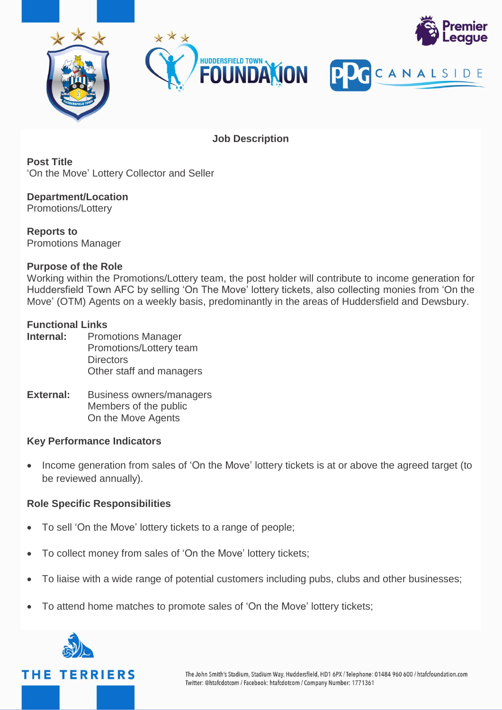

**Job Description**

**Post Title** 'On the Move' Lottery Collector and Seller

**Department/Location** Promotions/Lottery

**Reports to** Promotions Manager

#### **Purpose of the Role**

Working within the Promotions/Lottery team, the post holder will contribute to income generation for Huddersfield Town AFC by selling 'On The Move' lottery tickets, also collecting monies from 'On the Move' (OTM) Agents on a weekly basis, predominantly in the areas of Huddersfield and Dewsbury.

## **Functional Links**

| Internal: | <b>Promotions Manager</b> |  |
|-----------|---------------------------|--|
|           | Promotions/Lottery team   |  |
|           | <b>Directors</b>          |  |
|           | Other staff and managers  |  |
|           |                           |  |

#### **External:** Business owners/managers Members of the public On the Move Agents

### **Key Performance Indicators**

• Income generation from sales of 'On the Move' lottery tickets is at or above the agreed target (to be reviewed annually).

#### **Role Specific Responsibilities**

- To sell 'On the Move' lottery tickets to a range of people;
- To collect money from sales of 'On the Move' lottery tickets;
- To liaise with a wide range of potential customers including pubs, clubs and other businesses;
- To attend home matches to promote sales of 'On the Move' lottery tickets;

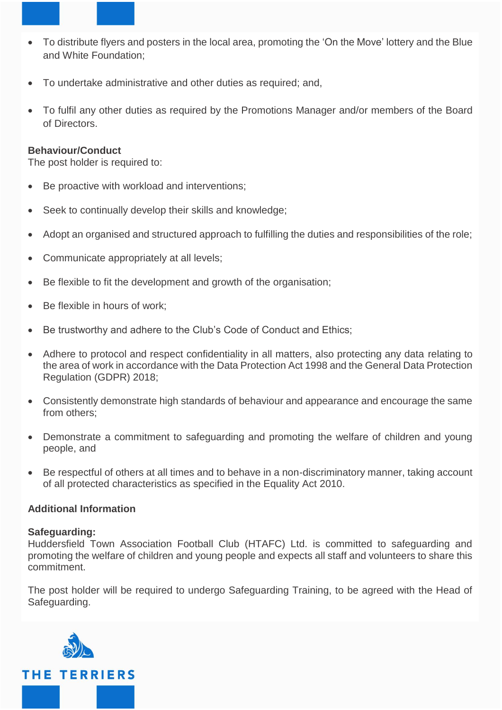- To distribute flyers and posters in the local area, promoting the 'On the Move' lottery and the Blue and White Foundation;
- To undertake administrative and other duties as required; and,
- To fulfil any other duties as required by the Promotions Manager and/or members of the Board of Directors.

#### **Behaviour/Conduct**

The post holder is required to:

- Be proactive with workload and interventions;
- Seek to continually develop their skills and knowledge;
- Adopt an organised and structured approach to fulfilling the duties and responsibilities of the role;
- Communicate appropriately at all levels;
- Be flexible to fit the development and growth of the organisation;
- Be flexible in hours of work:
- Be trustworthy and adhere to the Club's Code of Conduct and Ethics;
- Adhere to protocol and respect confidentiality in all matters, also protecting any data relating to the area of work in accordance with the Data Protection Act 1998 and the General Data Protection Regulation (GDPR) 2018;
- Consistently demonstrate high standards of behaviour and appearance and encourage the same from others:
- Demonstrate a commitment to safeguarding and promoting the welfare of children and young people, and
- Be respectful of others at all times and to behave in a non-discriminatory manner, taking account of all protected characteristics as specified in the Equality Act 2010.

#### **Additional Information**

#### **Safeguarding:**

Huddersfield Town Association Football Club (HTAFC) Ltd. is committed to safeguarding and promoting the welfare of children and young people and expects all staff and volunteers to share this commitment.

The post holder will be required to undergo Safeguarding Training, to be agreed with the Head of Safeguarding.

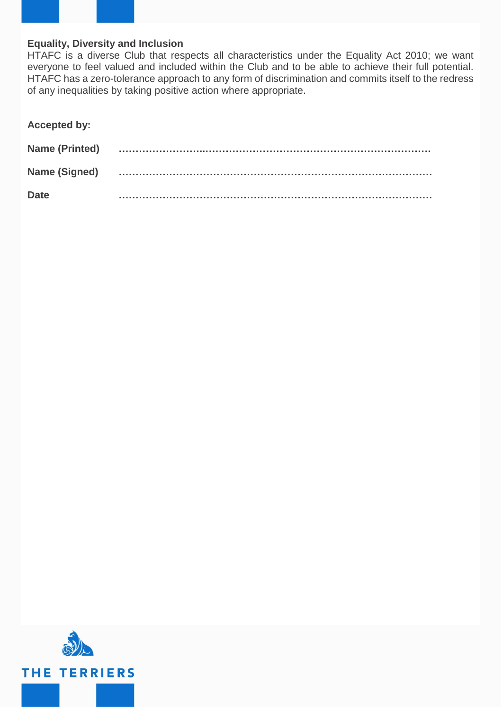

### **Equality, Diversity and Inclusion**

HTAFC is a diverse Club that respects all characteristics under the Equality Act 2010; we want everyone to feel valued and included within the Club and to be able to achieve their full potential. HTAFC has a zero-tolerance approach to any form of discrimination and commits itself to the redress of any inequalities by taking positive action where appropriate.

| <b>Accepted by:</b>   |  |
|-----------------------|--|
| <b>Name (Printed)</b> |  |
| Name (Signed)         |  |
| <b>Date</b>           |  |